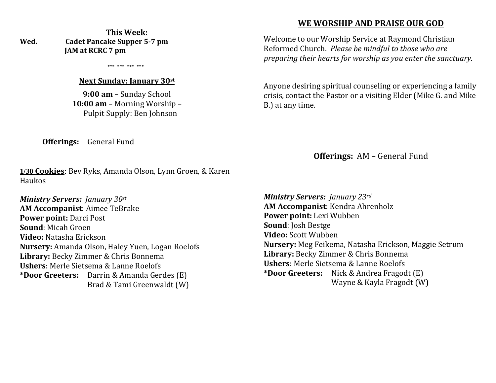**This Week: Wed. Cadet Pancake Supper 5-7 pm JAM at RCRC 7 pm** 

\*\*\* \*\*\* \*\*\* \*\*\*

#### **Next Sunday: January 30st**

**9:00 am** – Sunday School **10:00 am** – Morning Worship – Pulpit Supply: Ben Johnson

**Offerings:** General Fund

**1/30 Cookies**: Bev Ryks, Amanda Olson, Lynn Groen, & Karen Haukos

*Ministry Servers: January 30st* **AM Accompanist**: Aimee TeBrake **Power point:** Darci Post **Sound**: Micah Groen **Video:** Natasha Erickson **Nursery:** Amanda Olson, Haley Yuen, Logan Roelofs **Library:** Becky Zimmer & Chris Bonnema **Ushers**: Merle Sietsema & Lanne Roelofs **\*Door Greeters:** Darrin & Amanda Gerdes (E) Brad & Tami Greenwaldt (W)

## **WE WORSHIP AND PRAISE OUR GOD**

Welcome to our Worship Service at Raymond Christian Reformed Church. *Please be mindful to those who are preparing their hearts for worship as you enter the sanctuary.*

Anyone desiring spiritual counseling or experiencing a family crisis, contact the Pastor or a visiting Elder (Mike G. and Mike B.) at any time.

**Offerings:** AM – General Fund

*Ministry Servers: January 23rd*  **AM Accompanist**: Kendra Ahrenholz **Power point:** Lexi Wubben **Sound**: Josh Bestge **Video:** Scott Wubben **Nursery:** Meg Feikema, Natasha Erickson, Maggie Setrum **Library:** Becky Zimmer & Chris Bonnema **Ushers**: Merle Sietsema & Lanne Roelofs **\*Door Greeters:** Nick & Andrea Fragodt (E) Wayne & Kayla Fragodt (W)